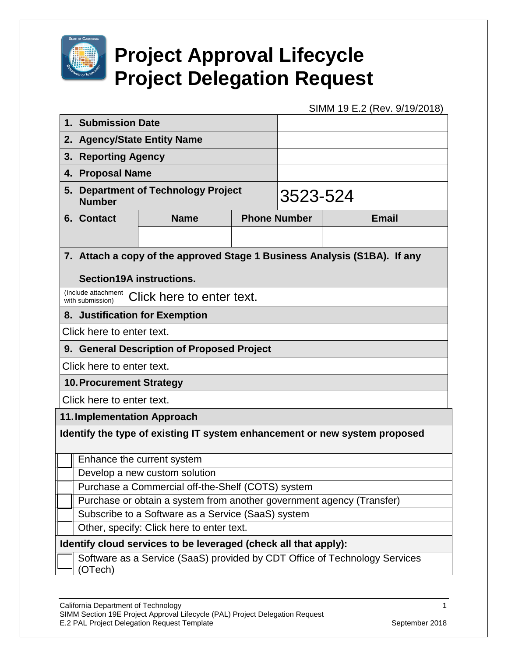

## **Project Approval Lifecycle Project Delegation Request**

SIMM 19 E.2 (Rev. 9/19/2018)

|                                                                            | 1. Submission Date                                                                    |                                    |          |  |              |  |  |
|----------------------------------------------------------------------------|---------------------------------------------------------------------------------------|------------------------------------|----------|--|--------------|--|--|
| 2.                                                                         | <b>Agency/State Entity Name</b>                                                       |                                    |          |  |              |  |  |
| 3.                                                                         | <b>Reporting Agency</b>                                                               |                                    |          |  |              |  |  |
| 4.                                                                         | <b>Proposal Name</b>                                                                  |                                    |          |  |              |  |  |
| 5.                                                                         | <b>Department of Technology Project</b><br><b>Number</b>                              |                                    | 3523-524 |  |              |  |  |
|                                                                            | 6. Contact                                                                            | <b>Phone Number</b><br><b>Name</b> |          |  | <b>Email</b> |  |  |
|                                                                            |                                                                                       |                                    |          |  |              |  |  |
|                                                                            |                                                                                       |                                    |          |  |              |  |  |
|                                                                            | 7. Attach a copy of the approved Stage 1 Business Analysis (S1BA). If any             |                                    |          |  |              |  |  |
|                                                                            | Section19A instructions.                                                              |                                    |          |  |              |  |  |
|                                                                            | (Include attachment Click here to enter text.<br>with submission)                     |                                    |          |  |              |  |  |
|                                                                            | 8. Justification for Exemption                                                        |                                    |          |  |              |  |  |
|                                                                            | Click here to enter text.                                                             |                                    |          |  |              |  |  |
|                                                                            | 9. General Description of Proposed Project                                            |                                    |          |  |              |  |  |
| Click here to enter text.                                                  |                                                                                       |                                    |          |  |              |  |  |
| <b>10. Procurement Strategy</b>                                            |                                                                                       |                                    |          |  |              |  |  |
| Click here to enter text.                                                  |                                                                                       |                                    |          |  |              |  |  |
| <b>11. Implementation Approach</b>                                         |                                                                                       |                                    |          |  |              |  |  |
| Identify the type of existing IT system enhancement or new system proposed |                                                                                       |                                    |          |  |              |  |  |
|                                                                            |                                                                                       |                                    |          |  |              |  |  |
|                                                                            | Enhance the current system                                                            |                                    |          |  |              |  |  |
|                                                                            | Develop a new custom solution                                                         |                                    |          |  |              |  |  |
|                                                                            | Purchase a Commercial off-the-Shelf (COTS) system                                     |                                    |          |  |              |  |  |
|                                                                            | Purchase or obtain a system from another government agency (Transfer)                 |                                    |          |  |              |  |  |
|                                                                            | Subscribe to a Software as a Service (SaaS) system                                    |                                    |          |  |              |  |  |
| Other, specify: Click here to enter text.                                  |                                                                                       |                                    |          |  |              |  |  |
| Identify cloud services to be leveraged (check all that apply):            |                                                                                       |                                    |          |  |              |  |  |
|                                                                            | Software as a Service (SaaS) provided by CDT Office of Technology Services<br>(OTech) |                                    |          |  |              |  |  |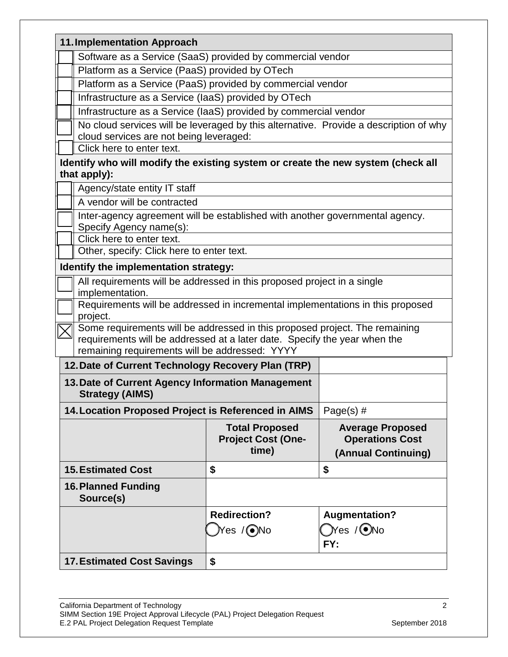| <b>11. Implementation Approach</b>                                                               |                                                                                                                                                                                                            |                                                                          |  |  |  |  |
|--------------------------------------------------------------------------------------------------|------------------------------------------------------------------------------------------------------------------------------------------------------------------------------------------------------------|--------------------------------------------------------------------------|--|--|--|--|
|                                                                                                  | Software as a Service (SaaS) provided by commercial vendor                                                                                                                                                 |                                                                          |  |  |  |  |
|                                                                                                  | Platform as a Service (PaaS) provided by OTech                                                                                                                                                             |                                                                          |  |  |  |  |
|                                                                                                  | Platform as a Service (PaaS) provided by commercial vendor                                                                                                                                                 |                                                                          |  |  |  |  |
|                                                                                                  | Infrastructure as a Service (laaS) provided by OTech                                                                                                                                                       |                                                                          |  |  |  |  |
|                                                                                                  | Infrastructure as a Service (laaS) provided by commercial vendor                                                                                                                                           |                                                                          |  |  |  |  |
| Click here to enter text.                                                                        | No cloud services will be leveraged by this alternative. Provide a description of why<br>cloud services are not being leveraged:                                                                           |                                                                          |  |  |  |  |
|                                                                                                  |                                                                                                                                                                                                            |                                                                          |  |  |  |  |
| Identify who will modify the existing system or create the new system (check all<br>that apply): |                                                                                                                                                                                                            |                                                                          |  |  |  |  |
| Agency/state entity IT staff                                                                     |                                                                                                                                                                                                            |                                                                          |  |  |  |  |
|                                                                                                  | A vendor will be contracted                                                                                                                                                                                |                                                                          |  |  |  |  |
|                                                                                                  | Inter-agency agreement will be established with another governmental agency.                                                                                                                               |                                                                          |  |  |  |  |
|                                                                                                  | Specify Agency name(s):                                                                                                                                                                                    |                                                                          |  |  |  |  |
|                                                                                                  | Click here to enter text.                                                                                                                                                                                  |                                                                          |  |  |  |  |
|                                                                                                  | Other, specify: Click here to enter text.                                                                                                                                                                  |                                                                          |  |  |  |  |
| Identify the implementation strategy:                                                            |                                                                                                                                                                                                            |                                                                          |  |  |  |  |
| implementation.                                                                                  | All requirements will be addressed in this proposed project in a single                                                                                                                                    |                                                                          |  |  |  |  |
| project.                                                                                         | Requirements will be addressed in incremental implementations in this proposed                                                                                                                             |                                                                          |  |  |  |  |
|                                                                                                  | Some requirements will be addressed in this proposed project. The remaining<br>requirements will be addressed at a later date. Specify the year when the<br>remaining requirements will be addressed: YYYY |                                                                          |  |  |  |  |
|                                                                                                  | 12. Date of Current Technology Recovery Plan (TRP)                                                                                                                                                         |                                                                          |  |  |  |  |
|                                                                                                  | 13. Date of Current Agency Information Management                                                                                                                                                          |                                                                          |  |  |  |  |
| <b>Strategy (AIMS)</b>                                                                           |                                                                                                                                                                                                            |                                                                          |  |  |  |  |
|                                                                                                  | 14. Location Proposed Project is Referenced in AIMS                                                                                                                                                        | Page(s) $#$                                                              |  |  |  |  |
|                                                                                                  | <b>Total Proposed</b><br><b>Project Cost (One-</b><br>time)                                                                                                                                                | <b>Average Proposed</b><br><b>Operations Cost</b><br>(Annual Continuing) |  |  |  |  |
| <b>15. Estimated Cost</b>                                                                        | \$                                                                                                                                                                                                         | \$                                                                       |  |  |  |  |
| <b>16. Planned Funding</b><br>Source(s)                                                          |                                                                                                                                                                                                            |                                                                          |  |  |  |  |
|                                                                                                  | <b>Redirection?</b>                                                                                                                                                                                        | <b>Augmentation?</b>                                                     |  |  |  |  |
|                                                                                                  | )Yes /◉No                                                                                                                                                                                                  | $\bigcirc$ Yes / $\bigcirc$ No                                           |  |  |  |  |
|                                                                                                  |                                                                                                                                                                                                            | FY:                                                                      |  |  |  |  |
|                                                                                                  |                                                                                                                                                                                                            |                                                                          |  |  |  |  |
| <b>17. Estimated Cost Savings</b>                                                                | \$                                                                                                                                                                                                         |                                                                          |  |  |  |  |